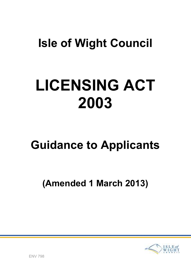## Isle of Wight Council

# LICENSING ACT 2003

## Guidance to Applicants

## (Amended 1 March 2013)

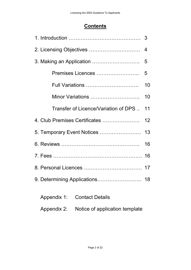## **Contents**

|                                      | 3  |
|--------------------------------------|----|
|                                      | 4  |
|                                      | 5  |
| Premises Licences                    | 5  |
| Full Variations                      | 10 |
| Minor Variations                     | 10 |
| Transfer of Licence/Variation of DPS | 11 |
| 4. Club Premises Certificates        | 12 |
|                                      |    |
|                                      | 16 |
|                                      |    |
|                                      |    |
| 9. Determining Applications          | 18 |
| Appendix 1: Contact Details          |    |

Appendix 2: Notice of application template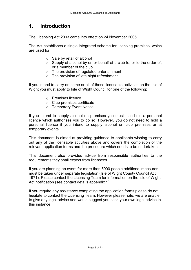## 1. Introduction

The Licensing Act 2003 came into effect on 24 November 2005.

The Act establishes a single integrated scheme for licensing premises, which are used for:

- o Sale by retail of alcohol
- $\circ$  Supply of alcohol by on or behalf of a club to, or to the order of, or a member of the club
- o The provision of regulated entertainment
- o The provision of late night refreshment

If you intend to carry on some or all of these licensable activities on the Isle of Wight you must apply to Isle of Wight Council for one of the following:

- o Premises licence
- o Club premises certificate
- o Temporary Event Notice

If you intend to supply alcohol on premises you must also hold a personal licence which authorises you to do so. However, you do not need to hold a personal licence if you intend to supply alcohol on club premises or at temporary events.

This document is aimed at providing guidance to applicants wishing to carry out any of the licensable activities above and covers the completion of the relevant application forms and the procedure which needs to be undertaken.

This document also provides advice from responsible authorities to the requirements they shall expect from licensees.

If you are planning an event for more than 5000 people additional measures must be taken under separate legislation (Isle of Wight County Council Act 1971). Please contact the Licensing Team for information on the Isle of Wight Act notification (see contact details appendix 1).

If you require any assistance completing the application forms please do not hesitate to contact the Licensing Team. However please note, we are unable to give any legal advice and would suggest you seek your own legal advice in this instance.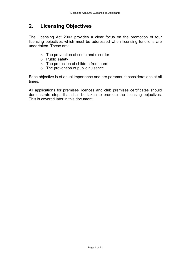## 2. Licensing Objectives

The Licensing Act 2003 provides a clear focus on the promotion of four licensing objectives which must be addressed when licensing functions are undertaken. These are:

- o The prevention of crime and disorder
- o Public safety
- o The protection of children from harm
- $\circ$  The prevention of public nuisance

Each objective is of equal importance and are paramount considerations at all times.

All applications for premises licences and club premises certificates should demonstrate steps that shall be taken to promote the licensing objectives. This is covered later in this document.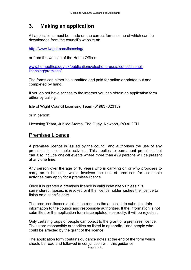## 3. Making an application

All applications must be made on the correct forms some of which can be downloaded from the council's website at:

http://www.iwight.com/licensing/

or from the website of the Home Office:

www.homeoffice.gov.uk/publications/alcohol-drugs/alcohol/alcohollicensing/premises/

The forms can either be submitted and paid for online or printed out and completed by hand.

If you do not have access to the internet you can obtain an application form either by calling:

Isle of Wight Council Licensing Team (01983) 823159

or in person:

Licensing Team, Jubilee Stores, The Quay, Newport, PO30 2EH

## Premises Licence

A premises licence is issued by the council and authorises the use of any premises for licensable activities. This applies to permanent premises, but can also include one-off events where more than 499 persons will be present at any one time.

Any person over the age of 18 years who is carrying on or who proposes to carry on a business which involves the use of premises for licensable activities may apply for a premises licence.

Once it is granted a premises licence is valid indefinitely unless it is surrendered, lapses, is revoked or if the licence holder wishes the licence to finish on a specific date.

The premises licence application requires the applicant to submit certain information to the council and responsible authorities. If the information is not submitted or the application form is completed incorrectly, it will be rejected.

Only certain groups of people can object to the grant of a premises licence. These are responsible authorities as listed in appendix 1 and people who could be affected by the grant of the licence.

The application form contains guidance notes at the end of the form which should be read and followed in conjunction with this guidance.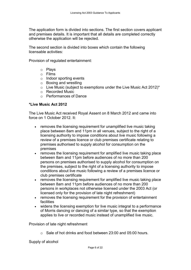The application form is divided into sections. The first section covers applicant and premises details. It is important that all details are completed correctly otherwise the application will be rejected.

The second section is divided into boxes which contain the following licensable activities:

Provision of regulated entertainment:

- o Plays
- o Films
- o Indoor sporting events
- o Boxing and wrestling
- $\circ$  Live Music (subject to exemptions under the Live Music Act 2012)\*
- o Recorded Music
- o Performances of Dance

#### \*Live Music Act 2012

The Live Music Act received Royal Assent on 8 March 2012 and came into force on 1 October 2012. It:

- removes the licensing requirement for unamplified live music taking place between 8am and 11pm in all venues, subject to the right of a licensing authority to impose conditions about live music following a review of a premises licence or club premises certificate relating to premises authorised to supply alcohol for consumption on the premises
- removes the licensing requirement for amplified live music taking place between 8am and 11pm before audiences of no more than 200 persons on premises authorised to supply alcohol for consumption on the premises, subject to the right of a licensing authority to impose conditions about live music following a review of a premises licence or club premises certificate
- removes the licensing requirement for amplified live music taking place between 8am and 11pm before audiences of no more than 200 persons in workplaces not otherwise licensed under the 2003 Act (or licensed only for the provision of late night refreshment)
- removes the licensing requirement for the provision of entertainment **facilities**
- widens the licensing exemption for live music integral to a performance of Morris dancing or dancing of a similar type, so that the exemption applies to live or recorded music instead of unamplified live music.

Provision of late night refreshment

o Sale of hot drinks and food between 23:00 and 05:00 hours.

Supply of alcohol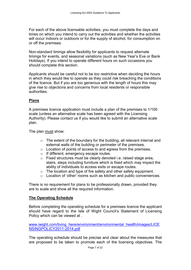For each of the above licensable activities, you must complete the days and times on which you intend to carry out the activities and whether the activities will occur indoors or outdoors or for the supply of alcohol, for consumption on or off the premises.

Non-standard timings allow flexibility for applicants to request alternate timings for events, and seasonal variations (such as New Year's Eve or Bank Holidays). If you intend to operate different hours on such occasions you should complete this section.

Applicants should be careful not to be too restrictive when deciding the hours in which they would like to operate as they could risk breaching the conditions of the licence. But if you are too generous with the length of hours this may give rise to objections and concerns from local residents or responsible authorities.

## Plans

A premises licence application must include a plan of the premises to 1/100 scale (unless an alternative scale has been agreed with the Licensing Authority). Please contact us if you would like to submit an alternative scale plan.

The plan must show:

- $\circ$  The extent of the boundary for the building, all relevant internal and external walls of the building or perimeter of the premises.
- o Location of points of access to and egress from the premises.
- o If different, emergency escape routes.
- o Fixed structures must be clearly denoted i.e. raised stage area, stairs, steps including furniture which is fixed which may impact the ability of individuals to access exits or escape routes.
- o The location and type of fire safety and other safety equipment.
- o Location of 'other' rooms such as kitchen and public conveniences.

There is no requirement for plans to be professionally drawn, provided they are to scale and show all the required information.

## The Operating Schedule

Before completing the operating schedule for a premises licence the applicant should have regard to the Isle of Wight Council's Statement of Licensing Policy which can be viewed at .

www.iwight.com/living\_here/environment/environmental\_health/images/LICE NSINGPOLICY2011-2014.pdf

The operating schedule should be precise and clear about the measures that are proposed to be taken to promote each of the licensing objectives. The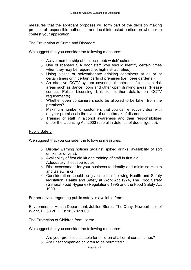measures that the applicant proposes will form part of the decision making process of responsible authorities and local interested parties on whether to contest your application.

#### The Prevention of Crime and Disorder:

We suggest that you consider the following measures:

- o Active membership of the local 'pub watch' scheme.
- o Use of licensed SIA door staff (you should identify certain times when they may be required ie: high risk activities).
- o Using plastic or polycarbonate drinking containers at all or at certain times or in certain parts of premises (i.e.: beer gardens.)
- o An effective CCTV system covering all entrances/exits high risk areas such as dance floors and other open drinking areas. (Please contact Police Licensing Unit for further details on CCTV requirements).
- o Whether open containers should be allowed to be taken from the premises?
- o Maximum number of customers that you can effectively deal with on your premises in the event of an outbreak of disorder.
- o Training of staff in alcohol awareness and their responsibilities under the Licensing Act 2003 (useful in defence of due diligence).

#### Public Safety:

We suggest that you consider the following measures:

- o Display warning notices (against spiked drinks, availability of soft drinks for drivers).
- o Availability of first aid kit and training of staff in first aid.
- o Adequately lit escape routes.
- o Risk assessment for your business to identify and minimise Health and Safety risks.
- o Consideration should be given to the following Health and Safety legislation: Health and Safety at Work Act 1974, The Food Safety (General Food Hygiene) Regulations 1995 and the Food Safety Act 1990.

Further advice regarding public safety is available from:

Environmental Health Department, Jubilee Stores, The Quay, Newport, Isle of Wight, PO30 2EH. (01983) 823000.

#### The Protection of Children from Harm:

We suggest that you consider the following measures:

- o Are your premises suitable for children at all or at certain times?
- o Are unaccompanied children to be permitted?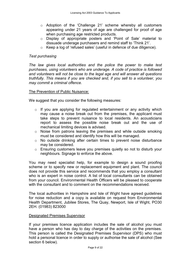- o Adoption of the 'Challenge 21' scheme whereby all customers appearing under 21 years of age are challenged for proof of age when purchasing age restricted products.
- o Display of appropriate posters and 'Point of Sale' material to dissuade underage purchasers and remind staff to 'Think 21'.
- o Keep a log of 'refused sales' (useful in defence of due diligence).

#### Test purchasing

The law gives local authorities and the police the power to make test purchases, using volunteers who are underage. A code of practice is followed and volunteers will not be close to the legal age and will answer all questions truthfully. This means if you are checked and, if you sell to a volunteer, you may commit a criminal offence.

#### The Prevention of Public Nuisance:

We suggest that you consider the following measures:

- $\circ$  If you are applying for regulated entertainment or any activity which may cause a noise break out from the premises, the applicant must take steps to prevent nuisance to local residents. An acousticians report to assess the possible noise break out and the use of mechanical limiting devices is advised.
- o Noise from patrons leaving the premises and while outside smoking must be considered and identify how this will be managed.
- o No outside drinking after certain times to prevent noise disturbance may be considered.
- o Ensuring customers leave you premises quietly so not to disturb your neighbours. Signage to enforce the above.

You may need specialist help, for example to design a sound proofing scheme or to specify new or replacement equipment and plant. The council does not provide this service and recommends that you employ a consultant who is an expert in noise control. A list of local consultants can be obtained from your council. Environmental Health Officers will be pleased to cooperate with the consultant and to comment on the recommendations received.

The local authorities in Hampshire and Isle of Wight have agreed guidelines for noise reduction and a copy is available on request from Environmental Health Department, Jubilee Stores, The Quay, Newport, Isle of Wight, PO30 2EH. (01983) 823000

#### Designated Premises Supervisor

If your premises licence application includes the sale of alcohol you must have a person who has day to day charge of the activities on the premises. This person is called the Designated Premises Supervisor (DPS) who must hold a personal licence in order to supply or authorise the sale of alcohol (See section 6 below).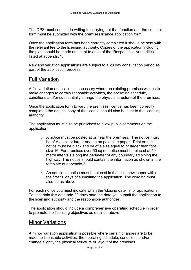The DPS must consent in writing to carrying out that function and the consent form must be submitted with the premises licence application form.

Once the application form has been correctly completed it should be sent with the relevant fee to the licensing authority. Copies of the application including the plan should be made and sent to each of the 'Responsible Authorities' listed at appendix 1.

New and variation applications are subject to a 28 day consultation period as part of the application process.

## Full Variation

A full variation application is necessary where an existing premises wishes to make changes to certain licensable activities, the operating schedule, conditions and/or substantially change the physical structure of the premises.

Once the application form to vary the premises licence has been correctly completed the original copy of the licence should also be sent to the licensing authority.

The application must also be publicised to allow public comments on the application.

- o A notice must be posted at or near the premises. The notice must be of A4 size or larger and be on pale blue paper. Print on the notice must be black and be of a size equal to or larger than font size 16. For premises over 50 sq m, notice must be placed at 50 metre intervals along the perimeter of any boundary adjoining the highway. The notice should contain the information as shown in the template at appendix 2.
- $\circ$  An additional notice must be placed in the local newspaper within the first 10 days of submitting the application. The wording must also be as above.

For each notice you must indicate when the 'closing date' is for applications. To ascertain this date add 29 days onto the date you submit the application to the licensing authority and the responsible authorities.

The application should include a comprehensive operating schedule in order to promote the licensing objectives as outlined above.

## Minor Variations

A minor variation application is possible where certain changes are to be made to licensable activities, the operating schedule, conditions and/or change slightly the physical structure or layout of the premises.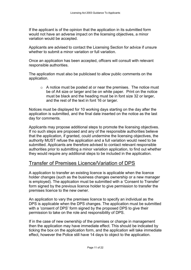If the applicant is of the opinion that the application in its submitted form would not have an adverse impact on the licensing objectives, a minor variation would be accepted.

Applicants are advised to contact the Licensing Section for advice if unsure whether to submit a minor variation or full variation.

Once an application has been accepted, officers will consult with relevant responsible authorities.

The application must also be publicised to allow public comments on the application.

o A notice must be posted at or near the premises. The notice must be of A4 size or larger and be on white paper. Print on the notice must be black and the heading must be in font size 32 or larger, and the rest of the text in font 16 or larger.

Notices must be displayed for 10 working days starting on the day after the application is submitted, and the final date inserted on the notice as the last day for comments.

Applicants may propose additional steps to promote the licensing objectives. If no such steps are proposed and any of the responsible authorities believe that the application, if granted, could undermine the licensing objectives, the authority MUST refuse the application and a full variation would need to be submitted. Applicants are therefore advised to contact relevant responsible authorities prior to submitting a minor variation application, to find out whether they would require any additional steps to be included in the application.

## Transfer of Premises Licence/Variation of DPS

A application to transfer an existing licence is applicable when the licence holder changes (such as the business changes ownership or a new manager is employed). The application must be submitted with a 'Consent to Transfer' form signed by the previous licence holder to give permission to transfer the premises licence to the new owner.

An application to vary the premises licence to specify an individual as the DPS is applicable when the DPS changes. The application must be submitted with a 'consent of DPS' form signed by the proposed DPS to give their permission to take on the role and responsibility of DPS.

If in the case of new ownership of the premises or change in management then the application may have immediate effect. This should be indicated by ticking the box on the application form, and the application will take immediate effect, however the Police still have 14 days to object to the application.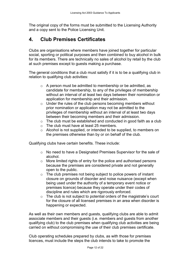The original copy of the forms must be submitted to the Licensing Authority and a copy sent to the Police Licensing Unit.

## 4. Club Premises Certificates

Clubs are organisations where members have joined together for particular social, sporting or political purposes and then combined to buy alcohol in bulk for its members. There are technically no sales of alcohol by retail by the club at such premises except to guests making a purchase.

The general conditions that a club must satisfy if it is to be a qualifying club in relation to qualifying club activities:

- o A person must be admitted to membership or be admitted, as candidate for membership, to any of the privileges of membership without an interval of at least two days between their nomination or application for membership and their admission.
- o Under the rules of the club persons becoming members without prior nomination or application may not be admitted to the privileges of membership without an interval of at least two days between their becoming members and their admission.
- o The club must be established and conducted in good faith as a club
- o The club must have at least 25 members.
- o Alcohol is not supplied, or intended to be supplied, to members on the premises otherwise than by or on behalf of the club.

Qualifying clubs have certain benefits. These include:

- o No need to have a Designated Premises Supervisor for the sale of alcohol.
- o More limited rights of entry for the police and authorised persons because the premises are considered private and not generally open to the public.
- o The club premises not being subject to police powers of instant closure on grounds of disorder and noise nuisance (except when being used under the authority of a temporary event notice or premises licence) because they operate under their codes of discipline and rules which are rigorously enforced.
- o The club is not subject to potential orders of the magistrate's court for the closure of all licensed premises in an area when disorder is happening or expected.

As well as their own members and guests, qualifying clubs are able to admit associate members and their guests (i.e. members and guests from another qualifying club) to the club premises when qualifying club activities are being carried on without compromising the use of their club premises certificate.

Club operating schedules prepared by clubs, as with those for premises licences, must include the steps the club intends to take to promote the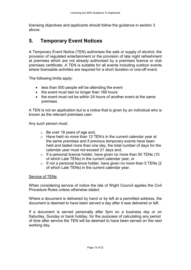licensing objectives and applicants should follow the guidance in section 3 above.

## 5. Temporary Event Notices

A Temporary Event Notice (TEN) authorises the sale or supply of alcohol, the provision of regulated entertainment or the provision of late night refreshment at premises which are not already authorised by a premises licence or club premises certificate. A TEN is suitable for all events including outdoor events where licensable activities are required for a short duration or one-off event.

The following limits apply:

- less than 500 people will be attending the event
- the event must last no longer than 168 hours
- the event must not be within 24 hours of another event at the same premises

A TEN is not an application but is a notice that is given by an individual who is known as the relevant premises user.

Any such person must;

- o Be over 18 years of age and,
- o Have held no more than 12 TEN's in the current calendar year at the same premises and if previous temporary events have been held and lasted more than one day, the total number of days for the calendar year must not exceed 21 days and,
- $\circ$  If a personal licence holder, have given no more than 50 TENs (10 of which Late TENs) in the current calendar year, or
- $\circ$  If not a personal licence holder, have given no more than 5 TENs (2) of which Late TENs) in the current calendar year.

#### Service of TENs

When considering service of notice the Isle of Wight Council applies the Civil Procedure Rules unless otherwise stated.

Where a document is delivered by hand or by left at a permitted address, the document is deemed to have been served a day after it was delivered or left.

If a document is served personally after 5pm on a business day or on Saturday, Sunday or bank holiday, for the purposes of calculating any period of time after service the TEN will be deemed to have been served on the next working day.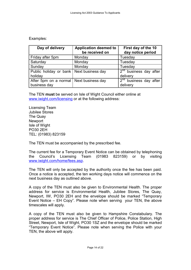#### Examples:

| Day of delivery                                         | <b>Application deemed to</b><br>be received on | First day of the 10<br>day notice period       |
|---------------------------------------------------------|------------------------------------------------|------------------------------------------------|
| Friday after 5pm                                        | Monday                                         | Tuesday                                        |
| Saturday                                                | Monday                                         | Tuesday                                        |
| Sunday                                                  | Monday                                         | Tuesday                                        |
| Public holiday or bank   Next business day<br>holiday   |                                                | $2^{nd}$ business day after<br>delivery        |
| After 5pm on a normal Next business day<br>business day |                                                | $\sqrt{2^{nd}}$ business day after<br>delivery |

The TEN must be served on Isle of Wight Council either online at www.iwight.com/licensing or at the following address:

Licensing Team Jubilee Stores The Quay **Newport** Isle of Wight PO30 2EH TEL: (01983) 823159

The TEN must be accompanied by the prescribed fee.

The current fee for a Temporary Event Notice can be obtained by telephoning the Council's Licensing Team (01983 823159) or by visiting www.iwight.com/home/fees.asp.

The TEN will only be accepted by the authority once the fee has been paid. Once a notice is accepted, the ten working days notice will commence on the next business day as outlined above.

A copy of the TEN must also be given to Environmental Health. The proper address for service is Environmental Health, Jubilee Stores, The Quay, Newport, IW, PO30 2EH and the envelope should be marked "Temporary Event Notice – EH Copy". Please note when serving your TEN, the above timescales will apply.

A copy of the TEN must also be given to Hampshire Constabulary. The proper address for service is The Chief Officer of Police, Police Station, High Street, Newport, Isle of Wight, PO30 1SZ and the envelope should be marked "Temporary Event Notice". Please note when serving the Police with your TEN, the above will apply.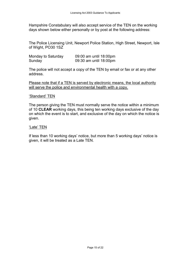Hampshire Constabulary will also accept service of the TEN on the working days shown below either personally or by post at the following address:

The Police Licensing Unit, Newport Police Station, High Street, Newport, Isle of Wight, PO30 1SZ

| Monday to Saturday | 09:00 am until 18:00pm |
|--------------------|------------------------|
| Sunday             | 09:30 am until 18:00pm |

The police will not accept a copy of the TEN by email or fax or at any other address.

Please note that if a TEN is served by electronic means, the local authority will serve the police and environmental health with a copy.

#### 'Standard' TEN

The person giving the TEN must normally serve the notice within a minimum of 10 CLEAR working days, this being ten working days exclusive of the day on which the event is to start, and exclusive of the day on which the notice is given.

#### 'Late' TEN

If less than 10 working days' notice, but more than 5 working days' notice is given, it will be treated as a Late TEN.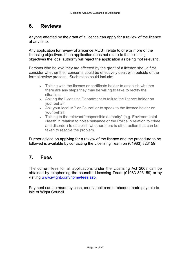## 6. Reviews

Anyone affected by the grant of a licence can apply for a review of the licence at any time.

Any application for review of a licence MUST relate to one or more of the licensing objectives. If the application does not relate to the licensing objectives the local authority will reject the application as being 'not relevant'.

Persons who believe they are affected by the grant of a licence should first consider whether their concerns could be effectively dealt with outside of the formal review process. Such steps could include:

- Talking with the licence or certificate holder to establish whether there are any steps they may be willing to take to rectify the situation.
- Asking the Licensing Department to talk to the licence holder on your behalf.
- Ask your local MP or Councillor to speak to the licence holder on your behalf.
- Talking to the relevant "responsible authority" (e.g. Environmental Health in relation to noise nuisance or the Police in relation to crime and disorder) to establish whether there is other action that can be taken to resolve the problem.

Further advice on applying for a review of the licence and the procedure to be followed is available by contacting the Licensing Team on (01983) 823159

## 7. Fees

The current fees for all applications under the Licensing Act 2003 can be obtained by telephoning the council's Licensing Team (01983 823159) or by visiting www.iwight.com/home/fees.asp.

Payment can be made by cash, credit/debit card or cheque made payable to Isle of Wight Council.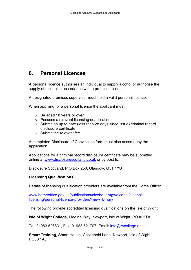## 8. Personal Licences

A personal licence authorises an individual to supply alcohol or authorise the supply of alcohol in accordance with a premises licence.

A designated premises supervisor must hold a valid personal licence.

When applying for a personal licence the applicant must:

- o Be aged 18 years or over.
- o Possess a relevant licensing qualification.
- o Submit an up to date (less than 28 days since issue) criminal record disclosure certificate.
- o Submit the relevant fee.

A completed Disclosure of Convictions form must also accompany the application.

Applications for a criminal record disclosure certificate may be submitted online at www.disclosurescotland.co.uk or by post to:

Disclosure Scotland, P.O.Box 250, Glasgow, G51 1YU

## Licensing Qualifications

Details of licensing qualification providers are available from the Home Office:

www.homeoffice.gov.uk/publications/alcohol-drugs/alcohol/alcohollicensing/personal-licence-providers?view=Binary

The following provide accredited licensing qualifications on the Isle of Wight;

Isle of Wight College, Medina Way, Newport, Isle of Wight, PO30 5TA

Tel: 01983 526631, Fax: 01983 521707, Email: info@iwcollege.ac.uk

Smart Training, Smart House, Castlehold Lane, Newport, Isle of Wight, PO30 1AJ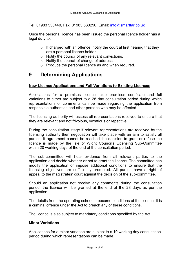Tel: 01983 530440, Fax: 01983 530290, Email: info@smarttar.co.uk

Once the personal licence has been issued the personal licence holder has a legal duty to:

- $\circ$  If charged with an offence, notify the court at first hearing that they are a personal licence holder.
- o Notify the council of any relevant convictions.
- o Notify the council of change of address.
- o Produce the personal licence as and when required.

## 9. Determining Applications

## New Licence Applications and Full Variations to Existing Licences

Applications for a premises licence, club premises certificate and full variations to either are subject to a 28 day consultation period during which representations or comments can be made regarding the application from responsible authorities and other persons who may be affected.

The licensing authority will assess all representations received to ensure that they are relevant and not frivolous, vexatious or repetitive.

During the consultation stage if relevant representations are received by the licensing authority then negotiation will take place with an aim to satisfy all parties. If agreement cannot be reached the decision to grant or refuse the licence is made by the Isle of Wight Council's Licensing Sub-Committee within 20 working days of the end of the consultation period.

The sub-committee will hear evidence from all relevant parties to the application and decide whether or not to grant the licence. The committee can modify the application or impose additional conditions to ensure that the licensing objectives are sufficiently promoted. All parties have a right of appeal to the magistrates' court against the decision of the sub-committee.

Should an application not receive any comments during the consultation period, the licence will be granted at the end of the 28 days as per the application.

The details from the operating schedule become conditions of the licence. It is a criminal offence under the Act to breach any of these conditions.

The licence is also subject to mandatory conditions specified by the Act.

#### Minor Variations

Applications for a minor variation are subject to a 10 working day consultation period during which representations can be made.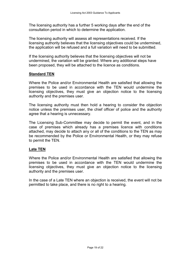The licensing authority has a further 5 working days after the end of the consultation period in which to determine the application.

The licensing authority will assess all representations received. If the licensing authority believes that the licensing objectives could be undermined, the application will be refused and a full variation will need to be submitted.

If the licensing authority believes that the licensing objectives will not be undermined, the variation will be granted. Where any additional steps have been proposed, they will be attached to the licence as conditions.

#### Standard TEN

Where the Police and/or Environmental Health are satisfied that allowing the premises to be used in accordance with the TEN would undermine the licensing objectives, they must give an objection notice to the licensing authority and the premises user.

The licensing authority must then hold a hearing to consider the objection notice unless the premises user, the chief officer of police and the authority agree that a hearing is unnecessary.

The Licensing Sub-Committee may decide to permit the event, and in the case of premises which already has a premises licence with conditions attached, may decide to attach any or all of the conditions to the TEN as may be recommended by the Police or Environmental Health, or they may refuse to permit the TEN.

#### Late TEN

Where the Police and/or Environmental Health are satisfied that allowing the premises to be used in accordance with the TEN would undermine the licensing objectives, they must give an objection notice to the licensing authority and the premises user.

In the case of a Late TEN where an objection is received, the event will not be permitted to take place, and there is no right to a hearing.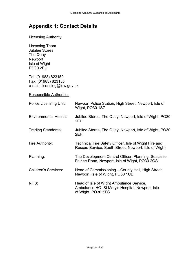## Appendix 1: Contact Details

#### **Licensing Authority**

Licensing Team Jubilee Stores The Quay Newport Isle of Wight PO30 2EH

Tel: (01983) 823159 Fax: (01983) 823158 e-mail: licensing@iow.gov.uk

#### Responsible Authorities

| <b>Police Licensing Unit:</b> | Newport Police Station, High Street, Newport, Isle of<br>Wight, PO30 1SZ                                          |
|-------------------------------|-------------------------------------------------------------------------------------------------------------------|
| <b>Environmental Health:</b>  | Jubilee Stores, The Quay, Newport, Isle of Wight, PO30<br>2EH                                                     |
| <b>Trading Standards:</b>     | Jubilee Stores, The Quay, Newport, Isle of Wight, PO30<br>2EH                                                     |
| Fire Authority:               | Technical Fire Safety Officer, Isle of Wight Fire and<br>Rescue Service, South Street, Newport, Isle of Wight     |
| Planning:                     | The Development Control Officer, Planning, Seaclose,<br>Fairlee Road, Newport, Isle of Wight, PO30 2QS            |
| <b>Children's Services:</b>   | Head of Commissioning – County Hall, High Street,<br>Newport, Isle of Wight, PO30 1UD                             |
| NHS:                          | Head of Isle of Wight Ambulance Service,<br>Ambulance HQ, St Mary's Hospital, Newport, Isle<br>of Wight, PO30 5TG |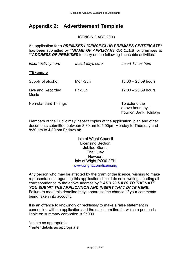## Appendix 2: Advertisement Template

LICENSING ACT 2003

An application for a PREMISES LICENCE/CLUB PREMISES CERTIFICATE\* has been submitted by \*\*NAME OF APPLICANT OR CLUB for premises at \*\* **ADDRESS OF PREMISES** to carry on the following licensable activities:

| Insert activity here       | Insert days here | <b>Insert Times here</b>                                   |
|----------------------------|------------------|------------------------------------------------------------|
| **Example                  |                  |                                                            |
| Supply of alcohol          | Mon-Sun          | $10:30 - 23:59$ hours                                      |
| Live and Recorded<br>Music | Fri-Sun          | $12:00 - 23:59$ hours                                      |
| Non-standard Timings       |                  | To extend the<br>above hours by 1<br>hour on Bank Holidays |

Members of the Public may inspect copies of the application, plan and other documents submitted between 8:30 am to 5:00pm Monday to Thursday and 8:30 am to 4:30 pm Fridays at:

> Isle of Wight Council Licensing Section Jubilee Stores The Quay **Newport** Isle of Wight PO30 2EH www.iwight.com/licensing

Any person who may be affected by the grant of the licence, wishing to make representations regarding this application should do so in writing, sending all correspondence to the above address by \*\*ADD 29 DAYS TO THE DATE YOU SUBMIT THE APPLICATION AND INSERT THAT DATE HERE. Failure to meet this deadline may jeopardise the chance of your comments being taken into account.

It is an offence to knowingly or recklessly to make a false statement in connection with an application and the maximum fine for which a person is liable on summary conviction is £5000.

\*delete as appropriate \*\*enter details as appropriate